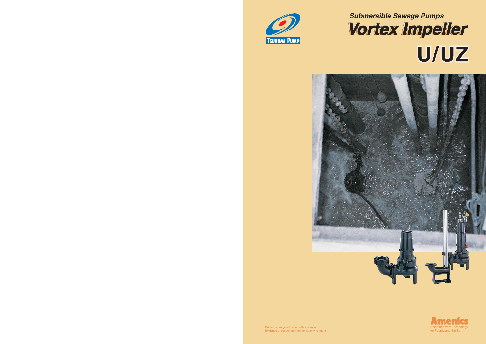



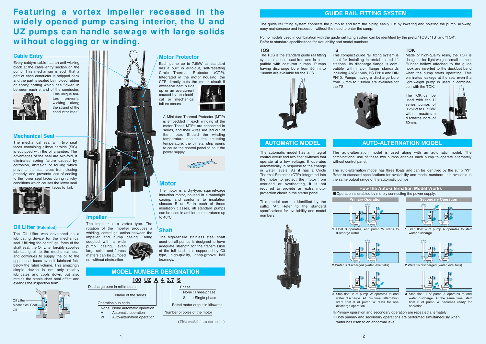# **GUIDE RAIL FITTING SYSTEM**

# **AUTOMATIC MODEL**

4

**Primary Operation** 

 $\mathbf{A}$   $\mathbf{A}$ 









The automatic model has an integral control circuit and two float switches that operate at a low voltage. It operates automatically in response to the change in water levels. As it has a Circle Thermal Protector (CTP) integrated into the motor to protect the motor from overload or overheating, it is not required to provide an extra motor protection circuit in the starter panel.

The TOS is the standard quide rail fitting system made of cast-iron and is compatible with cast-iron pumps. Pumps having discharge bore from 50mm to 100mm are available for the TOS.



This model can be identified by the suffix "A". Refer to the standard specifications for availability and model numbers.



### **TOS**

The guide rail fitting system connects the pump to and from the piping easily just by lowering and hoisting the pump, allowing easy maintenance and inspection without the need to enter the sump.

Pump models used in combination with the guide rail fitting system can be identified by the prefix "TOS", "TS" and "TOK". Refer to standard specifications for availability and model numbers.

# (This model does not exist.)

**Featuring a vortex impeller recessed in the w idely opened pump casing interior, the U and UZ pumps can handle sew age w ith large solids w ithout clogging or w inding.**

# **TOK**

Made of high-quality resin, the TOK is designed for light-weight, small pumps. Rubber bellow attached to the guide hook are inverted to the duckfoot bend when the pump starts operating. This eliminates leakage at the seal even if a light-weight pump is used in combination with the TOK.

The TOK can be used with the U series pumps of 0.25kW to 0.75kW with maximum discharge bore of 50mm.





# **Motor**

The motor is a dry-type, squirrel-cage induction motor, housed in a watertight casing, and conforms to insulation classes E or F. In each of these insulation classes, all standard pumps can be used in ambient temperatures up  $\qquad \qquad$  **to 40°C.** 

The impeller is a vortex type. The rotation of the impeller produces a whirling, centrifugal action between the impeller and pump casing. Being This compact quide rail fitting system is ideal for installing in prefabricated lift stations. Its discharge flange is compatible with major flange standards including ANSI 150lb, BS PN10 and DIN PN10. Pumps having a discharge bore from 50mm to 100mm are available for



coupled with a wide pump casing, even large solids and fibrous matters can be pumped out without obstruction.

**1** Start float 4 of pump A operates to start water discharge



discharge water

without control panel.

# **Oil Lifter (Patented)**



**2** Water is discharged (water level falls). **2** Water is discharged (water level falls).

The Oil Lifter was developed as a lubricating device for the mechanical seal. Utilizing the centrifugal force of the shaft seal, the Oil Lifter forcibly supplies lubricating oil to the mechanical seal and continues to supply the oil to the upper seal faces even if lubricant falls below the rated volume. This amazingly simple device is not only reliably lubricates and cools down, but also retains the stable shaft seal effect and extends the inspection term.

# **Shaft**



The high-tensile stainless steel shaft used on all pumps is designed to have adequate strength for the transmission of the full load. It is supported by C3 type, high-quality, deep-groove ball bearings.

# **Motor Protector**

Each pump up to 7.5kW as standard has a built in auto-cut, self-resetting Circle Thermal Protector (CTP). Integrated in the motor housing, the CTP directly cuts the motor circuit if

excessive heat builds up or an overcurrent caused by an electrical or mechanical failure occurs.



A Miniature Thermal Protector (MTP) is embedded in each winding of the motor. These MTPs are connected in series, and their wires are led out of the motor. Should the winding temperature rise to the actuating temperature, the bimetal strip opens to cause the control panel to shut the power supply.



## **Cable Entry**

Every cabtyre cable has an anti-wicking block at the cable entry section on the pump. This mechanism is such that a part of each conductor is stripped back and the part is sealed by molded rubber or epoxy potting which has flowed in between each strand of the conductor.



This unique feature prevents wicking along the strand of the conductor itself.

# **Mechanical Seal**

The mechanical seal with two seal faces containing silicon carbide (SiC) is equipped with the oil chamber. The advantages of the seal are two-fold, it eliminates spring failure caused by corrosion, abrasion or fouling which prevents the seal faces from closing properly, and prevents loss of cooling to the lower seal faces during run-dry conditions which causes the lower seal



**TS**

the TS.

**3** Stop float 2 of pump W operates to end water discharge. At this time, alternation start float 3 of pump W rests for one discharge operation.

# **How the Auto-alternation Model Works**

- **3** Stop float 1 of pump A operates to end water discharge. At the same time, start float 3 of pump W becomes ready for operation.
- ※Primary operation and secondary operation are repeated alternately. ※Both primary and secondary operations are performed simultaneously when

water has risen to an abnormal level.

The auto-alternation model is used along with an automatic model. The combinational use of these two pumps enables each pump to operate alternately

The auto-alternation model has three floats and can be identified by the suffix "W". Refer to standard specifications for availability and model numbers. It is available in the same output range of the automatic pumps.

# **AUTO-ALTERNATION MODEL**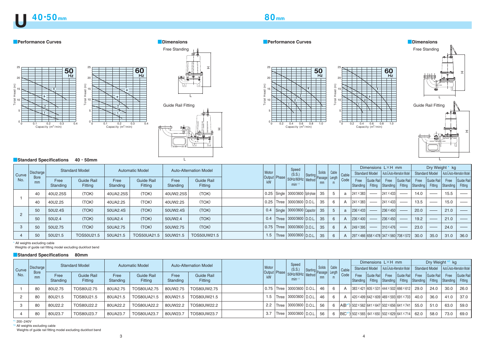|       |                   |          | <b>Standard Model</b> |          | <b>Automatic Model</b> |          | <b>Auto-Alternation Model</b> |               |                | Speed                              |        |                |       |          | Dimensions LXH mm     |          |                                                              |          | Dry Weight $*^2$ kg   |          |                               |
|-------|-------------------|----------|-----------------------|----------|------------------------|----------|-------------------------------|---------------|----------------|------------------------------------|--------|----------------|-------|----------|-----------------------|----------|--------------------------------------------------------------|----------|-----------------------|----------|-------------------------------|
| Curve | Discharge         |          |                       |          |                        |          |                               | Motor         |                | (S.S.)<br>Startin                  | Solids | Cable          | Cable |          | <b>Standard Model</b> |          | Auto & Auto-Alternation Model                                |          | <b>Standard Model</b> |          | Auto & Auto-Alternation Model |
| No.   | <b>Bore</b><br>mm | Free     | <b>Guide Rail</b>     | Free     | <b>Guide Rail</b>      | Free     | <b>Guide Rail</b>             |               | Output   Phase | 50Hz/60Hz   Method                 | mm     | Passage Length | Code  | Free     | Guide Rail            | Free     | Guide Rail                                                   | Free     | Guide Rail            | Free     | Guide Rail                    |
|       |                   | Standing | <b>Fitting</b>        | Standing | Fitting                | Standing | Fitting                       |               |                | min                                |        |                |       | Standing | Fitting               | Standing | Fitting                                                      | Standing | Fitting               | Standing | Fitting                       |
|       |                   | 80U2.75  | TOS80U2.75            | 80UA2.75 | TOS80UA2.75            | 80UW2.75 | TOS80UW2.75                   |               |                | 0.75   Three   3000/3600   D.O.L.  | 46     | 6              |       |          |                       |          | $ 383\times421 605\times531 444\times502 666\times612 29.0$  |          | 24.0                  | 30.0     | 26.0                          |
|       |                   | 80U21.5  | TOS80U21.5            | 80UA21.5 | TOS80UA21.5            | 80UW21.5 | TOS80UW21.5                   |               |                | 1.5   Three   3000/3600   D.O.L.   | 46     | 6              |       |          |                       |          | $ 420\times499 642\times609 469\times593 691\times703 $ 40.0 |          | 36.0                  | 41.0     | 37.0                          |
|       |                   | 80U22.2  | TOS80U22.2            | 80UA22.2 | TOS80UA22.2            | 80UW22.2 | TOS80UW22.2                   | $2.2^{\circ}$ |                | $\vert$ Three   3000/3600   D.O.L. | 56     | 6              |       |          |                       |          | $ A(B^{*1}) $ 502×562 641×647 502×656 641×741 55.0           |          | 51.0                  | 63.0     | 59.0                          |
|       |                   | 80U23.7  | TOS80U23.7            | 80UA23.  | TOS80UA23.7            | 80UW23.7 | TOS80UW23.7                   | 3.7           |                | Three   3000/3600   D.O.L.         | -56    | 6              |       |          |                       |          | $ B(C^* )$ 502×565 641×650 502×629 641×714 62.0              |          | 58.0                  | 73.0     | 69.0                          |

\* 1 200~240V

\*<sup>2</sup> All weights excluding cable

Weights of guide rail fitting model excluding duckfoot bend

## ■**Standard Specifications 40**・**50mm**



|       |                   |                  | <b>Standard Model</b>        |                  | <b>Automatic Model</b>       |                  | <b>Auto-Alternation Model</b> |       |                | Speed                                                                     |                            |        |       |                    |                                                                                                                                                                                                                                                                                                                                                                                                                                                                            | Dimensions $L \times H$ mm                              |                                                                                                                                                                                                                                                                                                                                                                                                                                                                            |                  | Dry Weight * kg                                                                                                                                                                                                                                                                                                                                                                                                                                                            |                  |                               |
|-------|-------------------|------------------|------------------------------|------------------|------------------------------|------------------|-------------------------------|-------|----------------|---------------------------------------------------------------------------|----------------------------|--------|-------|--------------------|----------------------------------------------------------------------------------------------------------------------------------------------------------------------------------------------------------------------------------------------------------------------------------------------------------------------------------------------------------------------------------------------------------------------------------------------------------------------------|---------------------------------------------------------|----------------------------------------------------------------------------------------------------------------------------------------------------------------------------------------------------------------------------------------------------------------------------------------------------------------------------------------------------------------------------------------------------------------------------------------------------------------------------|------------------|----------------------------------------------------------------------------------------------------------------------------------------------------------------------------------------------------------------------------------------------------------------------------------------------------------------------------------------------------------------------------------------------------------------------------------------------------------------------------|------------------|-------------------------------|
| Curve | Discharge         |                  |                              |                  |                              |                  |                               | Motor |                | (S.S.)                                                                    | Solids<br>Starting Passage | Cable  | Cable |                    | <b>Standard Model</b>                                                                                                                                                                                                                                                                                                                                                                                                                                                      | Auto & Auto-Alternation Model                           |                                                                                                                                                                                                                                                                                                                                                                                                                                                                            |                  | <b>Standard Model</b>                                                                                                                                                                                                                                                                                                                                                                                                                                                      |                  | Auto & Auto-Alternation Model |
| No.   | <b>Bore</b><br>mm | Free<br>Standing | <b>Guide Rail</b><br>Fitting | Free<br>Standing | <b>Guide Rail</b><br>Fitting | Free<br>Standing | <b>Guide Rail</b><br>Fitting  | kW    | Output   Phase | 50Hz/60Hz   Method<br>min                                                 | mm                         | Length | Code  | Free<br>Standing   | Guide Rail<br>Fitting                                                                                                                                                                                                                                                                                                                                                                                                                                                      | Free<br>Standing                                        | Guide Rail<br>Fitting                                                                                                                                                                                                                                                                                                                                                                                                                                                      | Free<br>Standing | Guide Rail<br>Fitting                                                                                                                                                                                                                                                                                                                                                                                                                                                      | Free<br>Standing | Guide Rail<br>Fitting         |
|       | 40                | 40U2.25S         | (TOK)                        | 40UA2.25S        | (TOK)                        | 40UW2.25S        | (TOK)                         |       |                | $\vert$ 0.25 $\vert$ Single $\vert$ 3000/3600 $\vert$ Split-phase $\vert$ | -35                        | 5      | a     | 241×383            | $\frac{1}{2} \left( \frac{1}{2} \right) \left( \frac{1}{2} \right) \left( \frac{1}{2} \right) \left( \frac{1}{2} \right) \left( \frac{1}{2} \right) \left( \frac{1}{2} \right) \left( \frac{1}{2} \right) \left( \frac{1}{2} \right) \left( \frac{1}{2} \right) \left( \frac{1}{2} \right) \left( \frac{1}{2} \right) \left( \frac{1}{2} \right) \left( \frac{1}{2} \right) \left( \frac{1}{2} \right) \left( \frac{1}{2} \right) \left( \frac{1}{2} \right) \left( \frac$ | $241 \times 433$                                        | $\frac{1}{2} \left( \frac{1}{2} \right) \left( \frac{1}{2} \right) \left( \frac{1}{2} \right) \left( \frac{1}{2} \right) \left( \frac{1}{2} \right) \left( \frac{1}{2} \right) \left( \frac{1}{2} \right) \left( \frac{1}{2} \right) \left( \frac{1}{2} \right) \left( \frac{1}{2} \right) \left( \frac{1}{2} \right) \left( \frac{1}{2} \right) \left( \frac{1}{2} \right) \left( \frac{1}{2} \right) \left( \frac{1}{2} \right) \left( \frac{1}{2} \right) \left( \frac$ | 14.0             | $\frac{1}{2} \left( \frac{1}{2} \right) \left( \frac{1}{2} \right) \left( \frac{1}{2} \right) \left( \frac{1}{2} \right) \left( \frac{1}{2} \right) \left( \frac{1}{2} \right) \left( \frac{1}{2} \right) \left( \frac{1}{2} \right) \left( \frac{1}{2} \right) \left( \frac{1}{2} \right) \left( \frac{1}{2} \right) \left( \frac{1}{2} \right) \left( \frac{1}{2} \right) \left( \frac{1}{2} \right) \left( \frac{1}{2} \right) \left( \frac{1}{2} \right) \left( \frac$ | 15.5             | $\frac{1}{2}$                 |
|       | -40               | 40U2.25          | (TOK)                        | 40UA2.25         | (TOK)                        | 40UW2.25         | (TOK)                         |       |                | $\vert$ 0.25   Three   3000/3600   D.O.L.                                 | 35                         | 6      |       | 241×383            | $\frac{1}{2} \left( \frac{1}{2} \right) \left( \frac{1}{2} \right) \left( \frac{1}{2} \right) \left( \frac{1}{2} \right) \left( \frac{1}{2} \right) \left( \frac{1}{2} \right) \left( \frac{1}{2} \right) \left( \frac{1}{2} \right) \left( \frac{1}{2} \right) \left( \frac{1}{2} \right) \left( \frac{1}{2} \right) \left( \frac{1}{2} \right) \left( \frac{1}{2} \right) \left( \frac{1}{2} \right) \left( \frac{1}{2} \right) \left( \frac{1}{2} \right) \left( \frac$ | $241 \times 433$                                        | $\overbrace{\qquad \qquad }^{}$                                                                                                                                                                                                                                                                                                                                                                                                                                            | 13.5             | $\frac{1}{2}$                                                                                                                                                                                                                                                                                                                                                                                                                                                              | 15.0             |                               |
|       | 50                | 50U2.4S          | (TOK)                        | 50UA2.4S         | (TOK)                        | 50UW2.4S         | (TOK)                         |       |                | $0.4$ Single 3000/3600 Capacitor                                          | 35                         | 5      | a     | 236×433            | $\frac{1}{2} \left( \frac{1}{2} \right) \left( \frac{1}{2} \right) \left( \frac{1}{2} \right) \left( \frac{1}{2} \right) \left( \frac{1}{2} \right) \left( \frac{1}{2} \right) \left( \frac{1}{2} \right) \left( \frac{1}{2} \right) \left( \frac{1}{2} \right) \left( \frac{1}{2} \right) \left( \frac{1}{2} \right) \left( \frac{1}{2} \right) \left( \frac{1}{2} \right) \left( \frac{1}{2} \right) \left( \frac{1}{2} \right) \left( \frac{1}{2} \right) \left( \frac$ | $ 236\times450 $                                        | $\overline{\phantom{a}}$                                                                                                                                                                                                                                                                                                                                                                                                                                                   | 20.0             |                                                                                                                                                                                                                                                                                                                                                                                                                                                                            | 21.0             |                               |
|       | 50                | 50U2.4           | (TOK)                        | 50UA2.4          | (TOK)                        | 50UW2.4          | (TOK)                         | 0.4   |                | Three   3000/3600   D.O.L.                                                | 35                         | 6      | A     | 236×400            | $\frac{1}{2} \left( \frac{1}{2} \right) \left( \frac{1}{2} \right) \left( \frac{1}{2} \right) \left( \frac{1}{2} \right) \left( \frac{1}{2} \right) \left( \frac{1}{2} \right) \left( \frac{1}{2} \right) \left( \frac{1}{2} \right) \left( \frac{1}{2} \right) \left( \frac{1}{2} \right) \left( \frac{1}{2} \right) \left( \frac{1}{2} \right) \left( \frac{1}{2} \right) \left( \frac{1}{2} \right) \left( \frac{1}{2} \right) \left( \frac{1}{2} \right) \left( \frac$ | $ 236\times450 $                                        | $\overbrace{\hspace{25mm}}^{}$                                                                                                                                                                                                                                                                                                                                                                                                                                             | 19.2             | $\overbrace{\hspace{25mm}}^{}$                                                                                                                                                                                                                                                                                                                                                                                                                                             | 21.0             |                               |
|       | 50                | 50U2.75          | (TOK)                        | 50UA2.75         | (TOK)                        | 50UW2.75         | (TOK)                         |       |                | $\vert$ 0.75   Three   3000/3600   D.O.L.                                 | 35                         | 6      |       | $ 249 \times 395 $ | $\frac{1}{2} \left( \frac{1}{2} \right) \left( \frac{1}{2} \right) \left( \frac{1}{2} \right) \left( \frac{1}{2} \right) \left( \frac{1}{2} \right) \left( \frac{1}{2} \right) \left( \frac{1}{2} \right) \left( \frac{1}{2} \right) \left( \frac{1}{2} \right) \left( \frac{1}{2} \right) \left( \frac{1}{2} \right) \left( \frac{1}{2} \right) \left( \frac{1}{2} \right) \left( \frac{1}{2} \right) \left( \frac{1}{2} \right) \left( \frac{1}{2} \right) \left( \frac$ | 310×476                                                 | $\frac{1}{2} \left( \frac{1}{2} \right) \left( \frac{1}{2} \right) \left( \frac{1}{2} \right) \left( \frac{1}{2} \right) \left( \frac{1}{2} \right) \left( \frac{1}{2} \right) \left( \frac{1}{2} \right) \left( \frac{1}{2} \right) \left( \frac{1}{2} \right) \left( \frac{1}{2} \right) \left( \frac{1}{2} \right) \left( \frac{1}{2} \right) \left( \frac{1}{2} \right) \left( \frac{1}{2} \right) \left( \frac{1}{2} \right) \left( \frac{1}{2} \right) \left( \frac$ | 23.0             | $\frac{1}{2}$                                                                                                                                                                                                                                                                                                                                                                                                                                                              | 24.0             |                               |
|       | 50                | 50U21.5          | TOS50U21.5                   | 50UA21.5         | <b>TOS50UA21.5</b>           | 50UW21.5         | TOS50UW21.5                   |       |                | 1.5   Three   3000/3600   D.O.L.                                          | 35                         | 6      | A     |                    |                                                                                                                                                                                                                                                                                                                                                                                                                                                                            | $ 297\times466 658\times478 347\times560 708\times572 $ |                                                                                                                                                                                                                                                                                                                                                                                                                                                                            | 30.0             | 35.0                                                                                                                                                                                                                                                                                                                                                                                                                                                                       | 31.0             | 36.0                          |

\* All weights excluding cable

Weights of guide rail fitting model excluding duckfoot bend

# **■Standard Specifications 80mm**



 $\overline{L}$ 









**2**



**1**

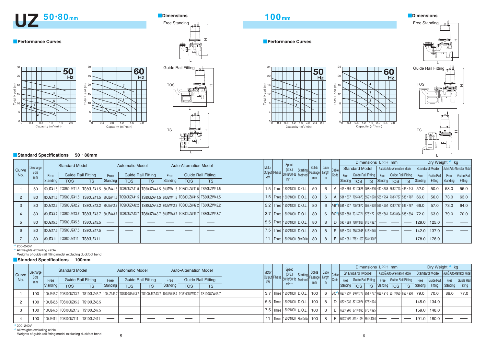|       |                   |          |                                                                                                                       | <b>Standard Model</b><br><b>Automatic Model</b> |          |            | <b>Auto-Alternation Model</b> |          |            | Speed                     |                                 |                                                |          |                                |                | Dimensions LXH mm |                                                                                                                                       |  |                          |                               | Dry Weight $*^2$ kg            |          |                       |          |                               |
|-------|-------------------|----------|-----------------------------------------------------------------------------------------------------------------------|-------------------------------------------------|----------|------------|-------------------------------|----------|------------|---------------------------|---------------------------------|------------------------------------------------|----------|--------------------------------|----------------|-------------------|---------------------------------------------------------------------------------------------------------------------------------------|--|--------------------------|-------------------------------|--------------------------------|----------|-----------------------|----------|-------------------------------|
| Curve | Discharge         |          |                                                                                                                       |                                                 |          |            |                               |          |            |                           | Motor                           | (S.S.)                                         | Starting | Solids Cable Cable             |                |                   | <b>Standard Model</b>                                                                                                                 |  |                          | Auto & Auto-Alternation Model |                                |          | <b>Standard Model</b> |          | Auto & Auto-Alternation Model |
| No.   | <b>Bore</b><br>mm | Free     | <b>Guide Rail Fitting</b>                                                                                             |                                                 | Free     |            | <b>Guide Rail Fitting</b>     | Free     |            | <b>Guide Rail Fitting</b> | Output Phase 50Hz/60Hz Method I |                                                |          | $\frac{9}{4}$  Passage  Length |                | Code              | Free   Guide Rail Fitting                                                                                                             |  |                          | Free Guide Rail Fitting       |                                | Free     | Guide Rail            | Free     | Guide Rail                    |
|       |                   | Standing | <b>TOS</b>                                                                                                            | <b>TS</b>                                       | Standing | <b>TOS</b> | <b>TS</b>                     | Standing | <b>TOS</b> | <b>TS</b>                 |                                 | $min-1$                                        |          |                                |                |                   | Standing   TOS   TS   Standing   TOS                                                                                                  |  |                          |                               | <b>TS</b>                      | Standing | Fitting               | Standing | Fitting                       |
|       | 50                |          | 50UZ41.5 TOS50UZ41.5 TS50UZ41.5   50UZA41.5 TOS50UZA41.5 TS50UZA41.5   50UZW41.5 TOS50UZW41.5 TS50UZW41.5             |                                                 |          |            |                               |          |            |                           |                                 | 1.5   Three   1500/1800   D.O.L.               |          | 50                             | 6              |                   | $\mathsf{A}$  405 $\times$ 566   621 $\times$ 626   398 $\times$ 626   442 $\times$ 683   658 $\times$ 743   435 $\times$ 743   52.0  |  |                          |                               |                                |          | 50.0                  | 58.0     | 56.0                          |
|       | 80                |          | 80UZ41.5 TOS80UZ41.5 TS80UZ41.5 80UZ441.5 TOS80UZ441.5 TS80UZA41.5 30UZW41.5 TOS80UZW41.5 TS80UZW41.                  |                                                 |          |            |                               |          |            |                           |                                 | 1.5   Three   1500/1800   D.O.L.               |          | 80                             | 6              |                   | $\mathbf{A}$   531 $\times$ 637   705 $\times$ 670   552 $\times$ 670   565 $\times$ 754   738 $\times$ 787   585 $\times$ 787   66.0 |  |                          |                               |                                |          | 56.0                  | 73.0     | 63.0                          |
|       | 80                |          | 80UZ42.2   TOS80UZ42.2   TS80UZ42.2   80UZA42.2   TOS80UZA42.2   TS80UZA42.2   80UZW42.2   TOS80UZW42.2   TS80UZW42.2 |                                                 |          |            |                               |          |            |                           |                                 | 2.2   Three   1500/1800   D.O.L.               |          | 80                             |                |                   | 6 $ A(B^*) $ 531×637 705×670 552×670 565×754 738×787 585×787 66.0                                                                     |  |                          |                               |                                |          | 57.0                  | 73.0     | 64.0                          |
|       | 80                |          | 80UZ43.7 TOS80UZ43.7 TS80UZ43.7 80UZA43.7 TOS80UZA43.7 TS80UZA43.7 80UZW43.7 TOS80UZW43.7 TS80UZW43.7                 |                                                 |          |            |                               |          |            |                           |                                 | $\mid$ 3.7   Three   1500/1800   D.O.L. $\mid$ |          | 80                             |                |                   | 6  B(C*1)   557 $\times$ 688   731 $\times$ 721   578 $\times$ 721   565 $\times$ 861   738 $\times$ 894   585 $\times$ 894   72.0    |  |                          |                               |                                |          | 63.0                  | 79.0     | 70.0                          |
|       | 80                |          | 80UZ45.5   TOS80UZ45.5   TS80UZ45.5                                                                                   |                                                 |          |            |                               |          |            |                           |                                 | 5.5   Three   1500/1800   D.O.L.               |          | 80                             |                |                   | 8   D $ 595\times899 768\times927 615\times927 $                                                                                      |  | $\overline{\phantom{a}}$ | $\frac{1}{2}$                 | $\frac{1}{2}$                  |          | $129.0$ 125.0         |          |                               |
|       | 80                |          | 80UZ47.5   TOS80UZ47.5   TS80UZ47.5                                                                                   |                                                 |          |            |                               |          |            | __                        |                                 | 7.5   Three   1500/1800   D.O.L.               |          | 80                             | 8              |                   | $E$   595 × 920   768 × 948   615 × 948                                                                                               |  |                          |                               |                                |          | 142.0 137.0           |          |                               |
|       | 80                | 80UZ411  | TOS80UZ411   TS80UZ411                                                                                                |                                                 |          |            |                               |          |            |                           |                                 | 11   Three   1500/1800   Star-Delta            |          | 80                             | 8 <sup>1</sup> |                   | $F$   602×981   776×1007   623×1007                                                                                                   |  | $\sim$ $\sim$            | $\overline{\phantom{a}}$      | $\overbrace{\hspace{25mm}}^{}$ |          | $178.0$   178.0       |          |                               |

# ■**Standard Specifications 50**・**80mm**

\* 1 200~240V

\*<sup>2</sup> All weights excluding cable Weights of guide rail fitting model excluding duckfoot bend

|       |                   |          | <b>Standard Model</b>               |                                        |          |            | Speed<br><b>Automatic Model</b><br><b>Auto-Alternation Model</b> |          |                                                                                                                                |                           |                                      |                                                                                                  |  | Dimensions LXH mm                                                                 |  |                                                             |                       | Dry Weight $*^2$ kg |                                                                                                   |    |          |               |          |                                                                                |
|-------|-------------------|----------|-------------------------------------|----------------------------------------|----------|------------|------------------------------------------------------------------|----------|--------------------------------------------------------------------------------------------------------------------------------|---------------------------|--------------------------------------|--------------------------------------------------------------------------------------------------|--|-----------------------------------------------------------------------------------|--|-------------------------------------------------------------|-----------------------|---------------------|---------------------------------------------------------------------------------------------------|----|----------|---------------|----------|--------------------------------------------------------------------------------|
| Curve | Discharge         |          |                                     |                                        |          |            |                                                                  |          |                                                                                                                                |                           | Motor                                |                                                                                                  |  | $\left  \begin{array}{c} \text{Solids} \\ \text{Cable} \end{array} \right $ Cable |  |                                                             | <b>Standard Model</b> |                     |                                                                                                   |    |          |               |          | Auto & Auto-Alternation Model   Standard Model   Auto & Auto-Alternation Model |
| No.   | <b>Bore</b><br>mm | Free     |                                     | <b>Guide Rail Fitting</b>              | Free     |            | <b>Guide Rail Fitting</b>                                        | Free     |                                                                                                                                | <b>Guide Rail Fitting</b> | Output Phase 50Hz/60Hz Method   www. | Code Free                                                                                        |  |                                                                                   |  | Free   Guide Rail Fitting                                   |                       |                     | Free   Guide Rail Fitting                                                                         |    | Free     | Guide Rail    | Free     | Guide Rail                                                                     |
|       |                   | Standing | <b>TOS</b>                          | <b>TS</b>                              | Standing | <b>TOS</b> | <b>TS</b>                                                        | Standing | <b>TOS</b>                                                                                                                     | <b>TS</b>                 |                                      | $min-1$                                                                                          |  |                                                                                   |  |                                                             |                       |                     | $ \text{Standard} \text{ to }\text{TOS} \text{ is } \text{Standard} \text{ to }\text{S} \text{.}$ | TS | Standing | Fitting       | Standing | Fitting                                                                        |
|       | 100               |          |                                     |                                        |          |            |                                                                  |          | 100UZ43.7   TOS100UZ43.7   TS100UZ43.7   100UZA43.7   TOS100UZA43.7   TS100UZA43.7   100UZW43.7   TOS100UZW43.7   TS100UZW43.7 |                           |                                      | 3.7 Three 1500/1800 D.O.L. 100 6 $ B(C^*) $ 627×737 846×777 651×777 632×910 851×950 656×950 79.0 |  |                                                                                   |  |                                                             |                       |                     |                                                                                                   |    |          | 70.0          | 86.0     | 77.0                                                                           |
|       | 100               |          |                                     | 100UZ45.5   TOS100UZ45.5   TS100UZ45.5 |          |            |                                                                  |          | <b>STATISTICS</b>                                                                                                              | _____                     |                                      | 5.5 Three 1500/1800 D.O.L. 100   8   D $ 652\times939 871\times974 676\times974 $ —              |  |                                                                                   |  |                                                             |                       |                     | $\sim$ $\sim$                                                                                     |    |          | 145.0 134.0   |          |                                                                                |
|       | 100               |          |                                     | 100UZ47.5   TOS100UZ47.5   TS100UZ47.5 |          |            |                                                                  |          |                                                                                                                                |                           |                                      | 7.5   Three   1500/1800   D.O.L.                                                                 |  |                                                                                   |  | 100   8   E $ 652\times960 871\times995 676\times995 $      |                       | $\frac{1}{2}$       |                                                                                                   |    |          | 159.0 148.0   |          |                                                                                |
|       | 100               |          | 100UZ411   TOS100UZ411   TS100UZ411 |                                        |          |            |                                                                  | _____    | _______                                                                                                                        | ______                    |                                      | 11   Three   1500/1800   Star-Delta   100                                                        |  |                                                                                   |  | 8   F $ 660 \times 1021 879 \times 1054 684 \times 1054 $ — |                       |                     | <b>Contract Contract Contract Contract</b>                                                        |    |          | $191.0$ 180.0 |          |                                                                                |

■**Standard Specifications 100mm**

\* 1 200~240V

\*<sup>2</sup> All weights excluding cable

Weights of guide rail fitting model excluding duckfoot bend

■**Performance Curves**

# ■**Dimensions**

Total Head (m)

Total Head

4

8

12

16

20

24

| U |  | 0.4 | 0.8 |         | 12 |  |
|---|--|-----|-----|---------|----|--|
|   |  |     |     | Capacit |    |  |
|   |  |     |     |         |    |  |





### Capacity  $(m^3/min)$ 0.8 1.2 1.6 2.0 2.4 2.8





L

H

H

H